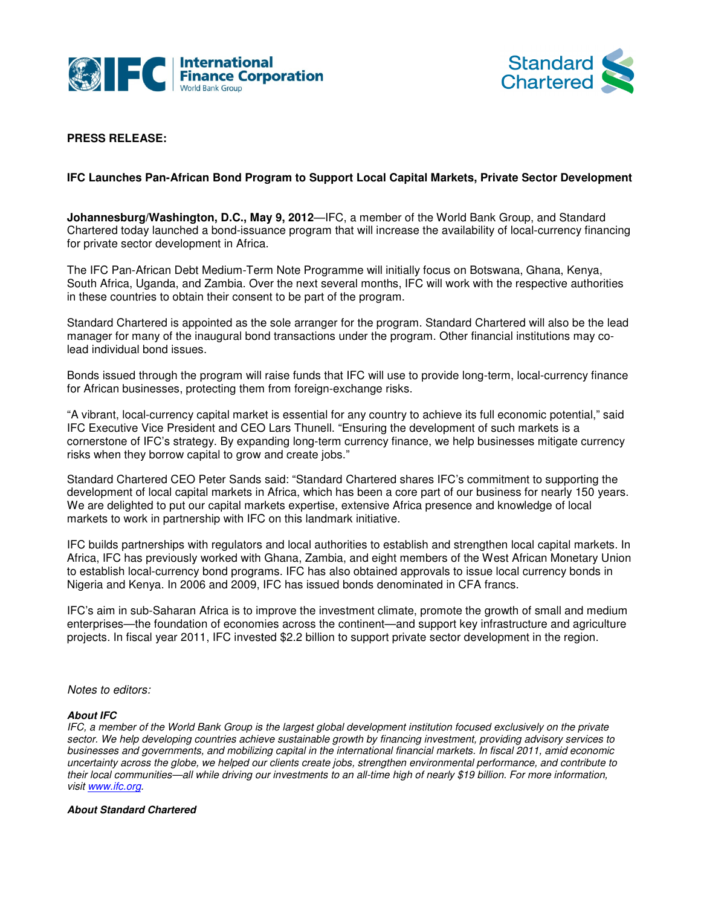



# **PRESS RELEASE:**

## **IFC Launches Pan-African Bond Program to Support Local Capital Markets, Private Sector Development**

**IFC Launches Pan-African Bond Program to Support Local Capital Markets, Private Sector Developr<br><b>Johannesburg/Washington, D.C., May 9, 2012—**IFC, a member of the World Bank Group, and Standard **Johannesburg/Washington, D.C., May 9, 2012**—IFC, a member of the World Bank Group, and Standard<br>Chartered today launched a bond-issuance program that will increase the availability of local-currency financing for private sector development in Africa.

for private sector development in Africa.<br>The IFC Pan-African Debt Medium-Term Note Programme will initially focus on Botswana, Ghana, Kenya, The IFC Pan-African Debt Medium-Term Note Programme will initially focus on Botswana, Ghana, Kenya,<br>South Africa, Uganda, and Zambia. Over the next several months, IFC will work with the respective authorities in these countries to obtain their consent to be part of the program program.

Standard Chartered is appointed as the sole arranger for the program. Standard Chartered will also be the lead Standard Chartered is appointed as the sole arranger for the program. Standard Chartered will also be the le<br>manager for many of the inaugural bond transactions under the program. Other financial institutions may colead individual bond issues. manager for many of the inaugural bond transactions under the program. Other financial institutions may co-<br>lead individual bond issues.<br>Bonds issued through the program will raise funds that IFC will use to provide long-t

for African businesses, protecting them from foreign-exchange risks.

"A vibrant, local-currency capital market is essential for any country to achieve its full economic potential potential," said IFC Executive Vice President and CEO Lars Thunell. "Ensuring the development of such markets is a cornerstone of IFC's strategy. By expanding long-term currency finance, we help businesses mitigate currency risks when they borrow capital to grow and create jobs." currency capital market is essential for any country to achieve its full econom<br>ice President and CEO Lars Thunell. "Ensuring the development of such mar<br><sup>=</sup>C's strategy. By expanding long-term currency finance, we help bu

Standard Chartered CEO Peter Sands said: "Standard Chartered shares IFC's commitment to supporting the Standard Chartered CEO Peter Sands said: "Standard Chartered shares IFC's commitment to supporting the<br>development of local capital markets in Africa, which has been a core part of our business for nearly 150 years. We are delighted to put our capital markets expertise, extensive Africa presence and knowledge of local markets to work in partnership with IFC on this landmark initiative.

IFC builds partnerships with regulators and local authorities to establish and strengthen local capital markets. In IFC builds partnerships with regulators and local authorities to establish and strengthen local capital markets. In<br>Africa, IFC has previously worked with Ghana, Zambia, and eight members of the West African Monetary Union to establish local-currency bond programs. IFC has also obtained approvals to issue local currency bonds in to establish local-currency bond programs. IFC has also obtained approvals to issue local currency<br>Nigeria and Kenya. In 2006 and 2009, IFC has issued bonds denominated in CFA francs. referisive Africa presence and knowledge of local<br>
initiative.<br>
ties to establish and strengthen local capital mar<br>
and eight members of the West African Monetary<br>
obtained approvals to issue local currency bond<br>
onds deno

IFC's aim in sub-Saharan Africa is to improve the investment climate, promote the growth of small and medium enterprises—the foundation of economies across the continent—and support key infrastructure and agriculture projects. In fiscal year 2011, IFC invested \$2.2 billion to support private sector development in the region.

Notes to editors:

### **About IFC**

IFC, a member of the World Bank Group is the largest global development institution focused exclusively on the private sector. We help developing countries achieve sustainable growth by financing investment, providing advisory services to businesses and governments, and mobilizing capital in the international financial markets. In fiscal 2011, amid economic sector. We help developing countries achieve sustainable growth by financing investment, providing advisory services to<br>businesses and governments, and mobilizing capital in the international financial markets. In fiscal 2 their local communities—all while driving our investments to an all-time high of nearly \$19 billion. For more information, visit www.ifc.org.

### **About Standard Chartered**